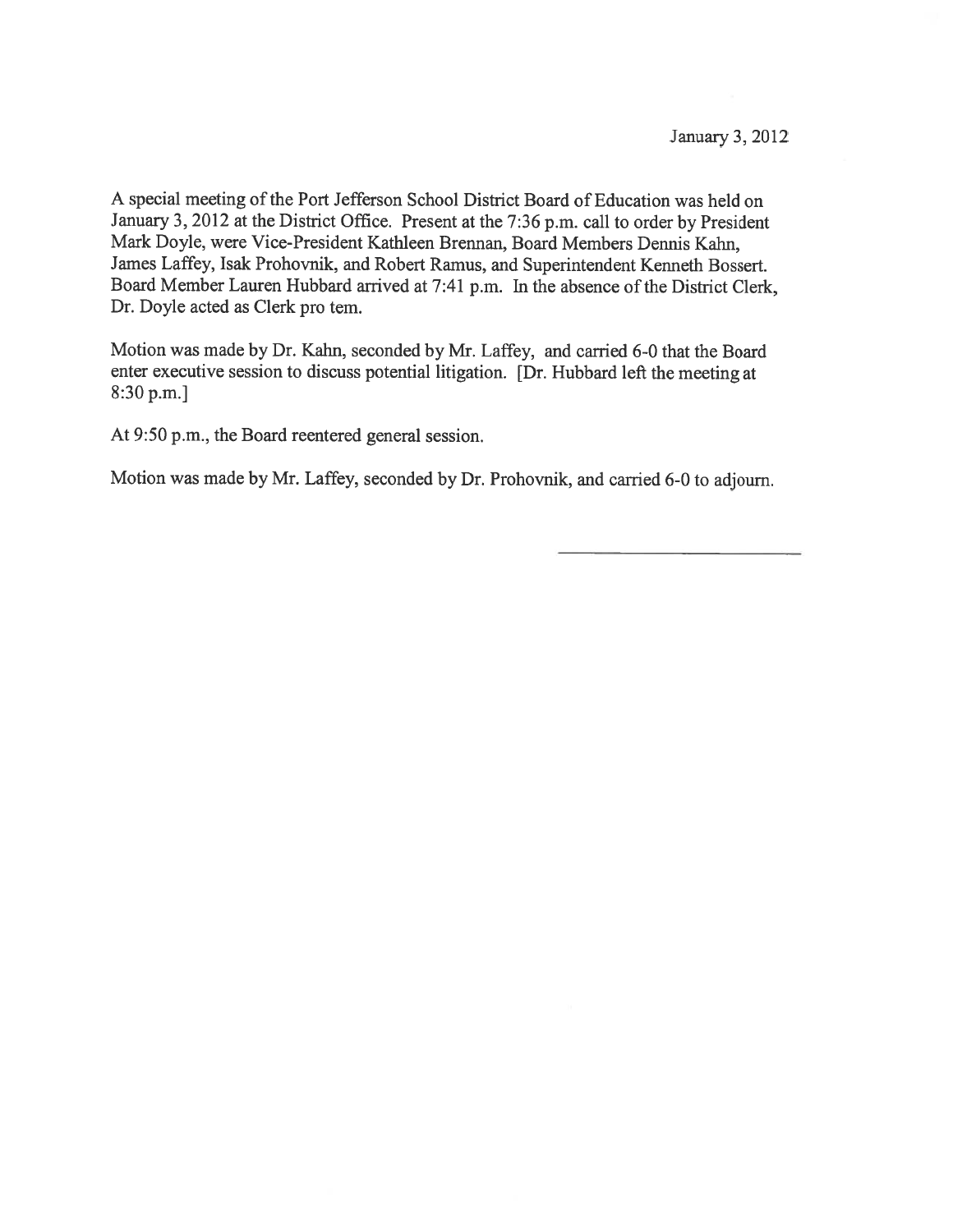A special meeting of the Port Jefferson School District Board of Education was held on January 3, <sup>2012</sup> at the District Office. Present at the 7:36 p.m. call to order by President Mark Doyle, were Vice-President Kathleen Brennan, Board Members Dennis Kahn, James Laffey, Isak Prohovnik, and Robert Ramus, and Superintendent Kenneth Bossert. Board Member Lauren Hubbard arrived at 7:41 p.m. In the absence of the District Clerk, Dr. Doyle acted as Clerk pro tem.

Motion was made by Dr. Kahn, seconded by Mr. Laffey, and carried 6-0 that the Board enter executive session to discuss potential litigation. [Dr. Hubbard left the meeting at 8:30 p.m.]

At 9:50 p.m., the Board reentered general session.

Motion was made by Mr. Laffey, seconded by Dr. Prohovnik, and carried 6-0 to adjourn.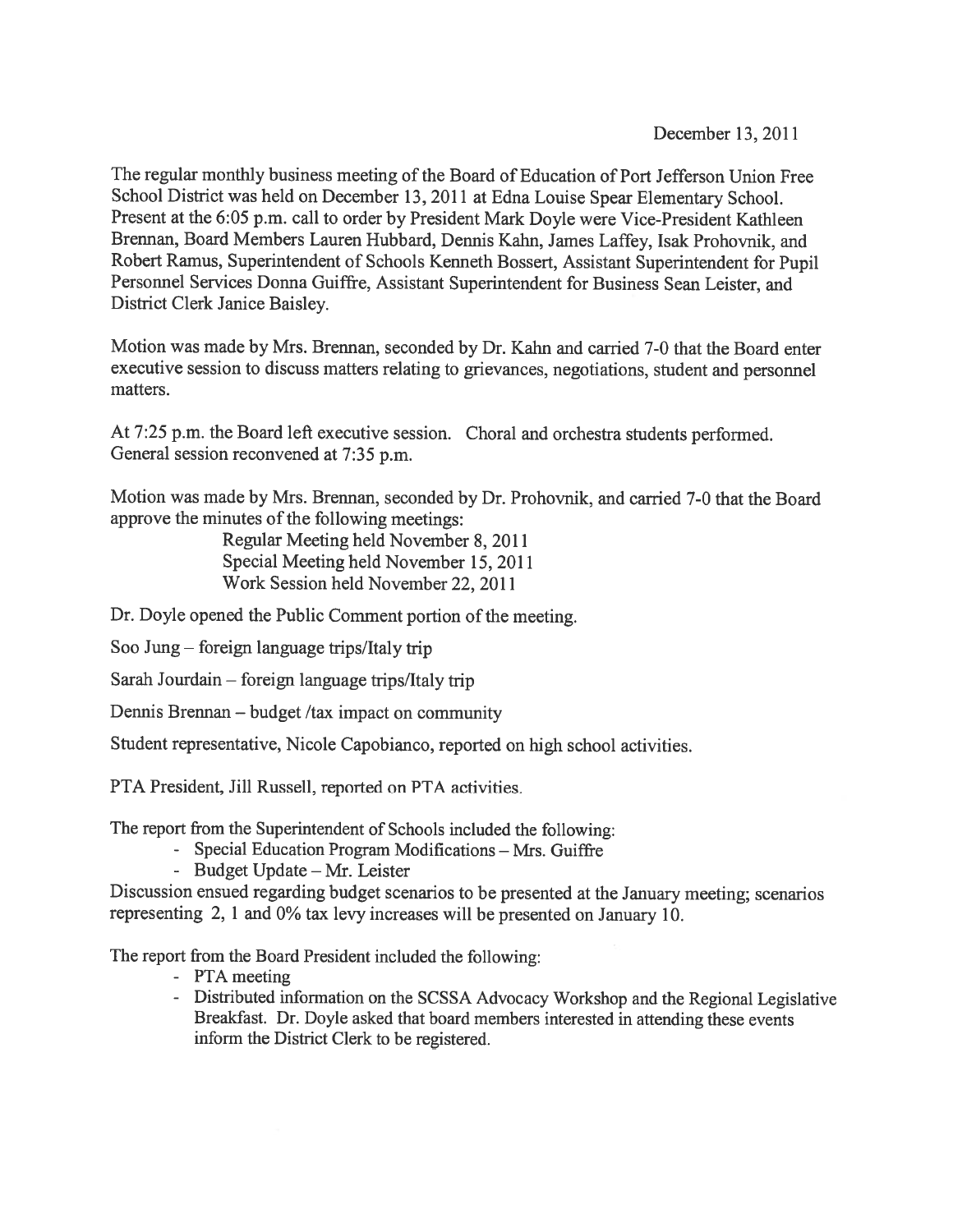December 13, 2011

The regular monthly business meeting of the Board of Education of Port Jefferson Union Free School District was held on December 13, <sup>2011</sup> at Edna Louise Spear Elementary School. Present at the 6:05 p.m. call to order by President Mark Doyle were Vice-President Kathleen Brennan, Board Members Lauren Hubbard, Dennis Kahn, James Laffey, Isak Prohovnik, and Robert Ramus, Superintendent of Schools Kenneth Bossert, Assistant Superintendent for Pupil Personnel Services Donna Guiffre, Assistant Superintendent for Business Sean Leister, and District Clerk Janice Baisley.

Motion was made by Mrs. Brennan, seconded by Dr. Kahn and carried 7-0 that the Board enter executive session to discuss matters relating to grievances, negotiations, student and personne<sup>l</sup> matters.

At 7:25 p.m. the Board left executive session. Choral and orchestra students performed. General session reconvened at 7:35 p.m.

Motion was made by Mrs. Brennan, seconded by Dr. Prohovnik, and carried 7-0 that the Board approve the minutes of the following meetings:

> Regular Meeting held November 8, 2011 Special Meeting held November 15, 2011 Work Session held November 22, 2011

Dr. Doyle opened the Public Comment portion of the meeting.

Soo Jung — foreign language trips/Italy trip

Sarah Jourdain — foreign language trips/Italy trip

Dennis Brennan — budget /tax impact on community

Student representative, Nicole Capobianco, reported on high school activities.

PTA President, Jill Russell, reported on PTA activities.

The repor<sup>t</sup> from the Superintendent of Schools included the following:

- Special Education Program Modifications Mrs. Guiffre
- Budget Update Mr. Leister

Discussion ensued regarding budget scenarios to be presented at the January meeting; scenarios representing 2, <sup>1</sup> and 0% tax levy increases will be presented on January 10.

The repor<sup>t</sup> from the Board President included the following:

- PTA meeting
- Distributed information on the SCSSA Advocacy Workshop and the Regional Legislative Breakfast. Dr. Doyle asked that board members interested in attending these events inform the District Clerk to be registered.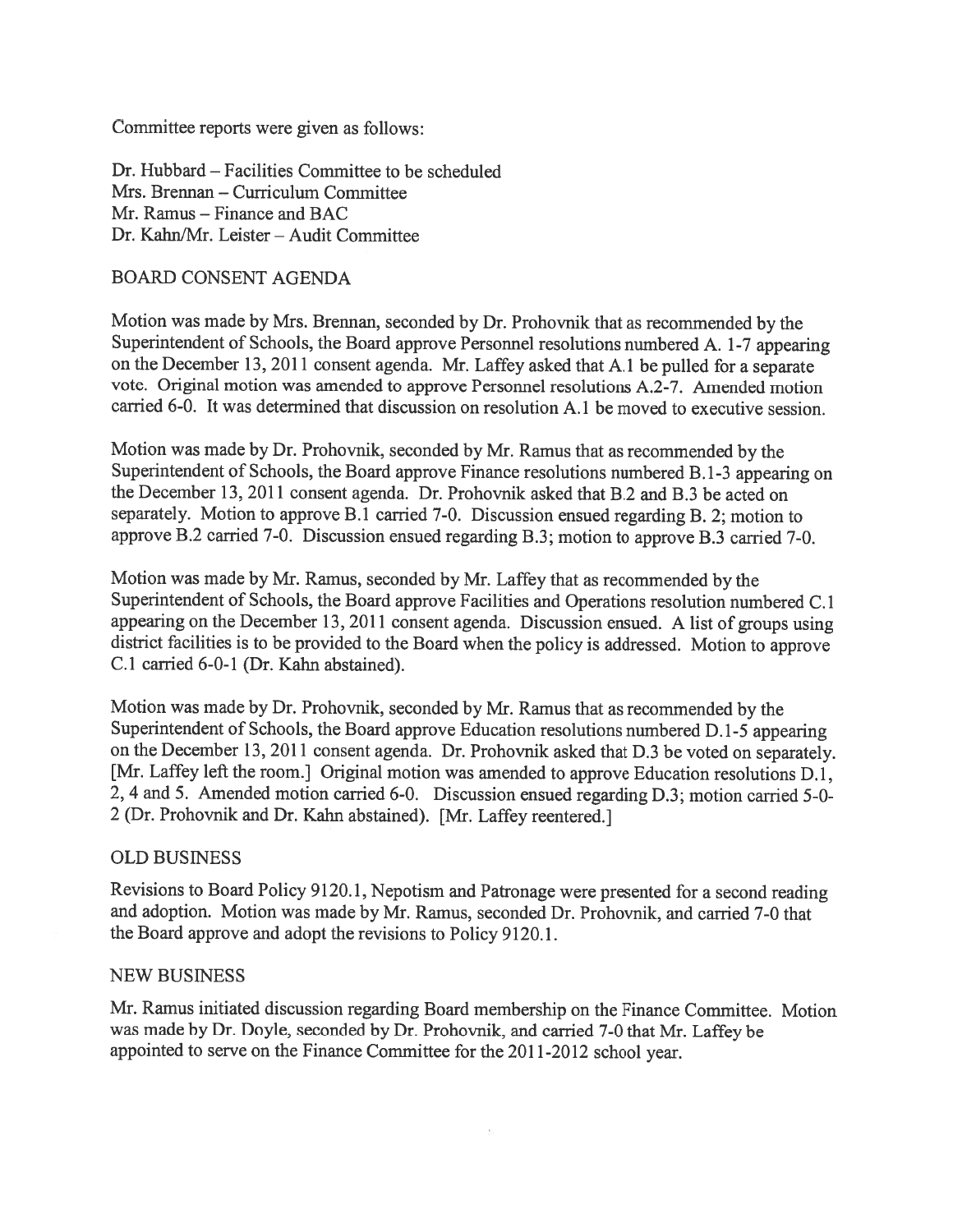Committee reports were given as follows:

Dr. Hubbard — Facilities Committee to be scheduled Mrs. Brennan — Curriculum Committee Mr. Ramus — Finance and BAC Dr. Kahn/Mr. Leister - Audit Committee

# BOARD CONSENT AGENDA

Motion was made by Mrs. Brennan, seconded by Dr. Prohovnik that as recommended by the Superintendent of Schools, the Board approve Personnel resolutions numbered A. 1-7 appearing on the December 13, <sup>2011</sup> consent agenda. Mr. Laffey asked that A.1 be pulled for <sup>a</sup> separate vote. Original motion was amended to approve Personnel resolutions A.2-7. Amended motion carried 6-0. It was determined that discussion on resolution A. 1 be moved to executive session.

Motion was made by Dr. Prohovnik, seconded by Mr. Ramus that as recommended by the Superintendent of Schools, the Board approve Finance resolutions numbered B. 1-3 appearing on the December 13, 2011 consent agenda. Dr. Prohovnik asked that B.2 and B.3 be acted on separately. Motion to approve  $\overline{B.1}$  carried 7-0. Discussion ensued regarding B. 2; motion to approve B.2 carried 7-0. Discussion ensued regarding B.3; motion to approve B.3 carried 7-0.

Motion was made by Mr. Ramus, seconded by Mr. Laffey that as recommended by the Superintendent of Schools, the Board approve Facilities and Operations resolution numbered C. <sup>1</sup> appearing on the December 13, <sup>2011</sup> consent agenda. Discussion ensued. <sup>A</sup> list of groups using district facilities is to be provided to the Board when the policy is addressed. Motion to approve C.1 carried 6-0-1 (Dr. Kahn abstained).

Motion was made by Dr. Prohovnik, seconded by Mr. Ramus that as recommended by the Superintendent of Schools, the Board approve Education resolutions numbered D. 1-5 appearing on the December 13, <sup>2011</sup> consent agenda. Dr. Prohovnik asked that D.3 be voted on separately. [Mr. Laffey left the room.] Original motion was amended to approve Education resolutions D.1, 2, <sup>4</sup> and 5. Amended motion carried 6-0. Discussion ensued regarding D.3; motion carried 5-0- <sup>2</sup> (Dr. Prohovnik and Dr. Kahn abstained). [Mr. Laffey reentered.]

# OLD BUSINESS

Revisions to Board Policy 9120.1, Nepotism and Patronage were presented for <sup>a</sup> second reading and adoption. Motion was made by Mr. Ramus, seconded Dr. Prohovnik, and carried 7-0 that the Board approve and adopt the revisions to Policy 9120.1.

### NEW BUSINESS

Mr. Ramus initiated discussion regarding Board membership on the Finance Committee. Motion was made by Dr. Doyle, seconded by Dr. Prohovnik, and carried 7-0 that Mr. Laffey be appointed to serve on the Finance Committee for the 2011-2012 school year.

 $\langle \cdot \rangle$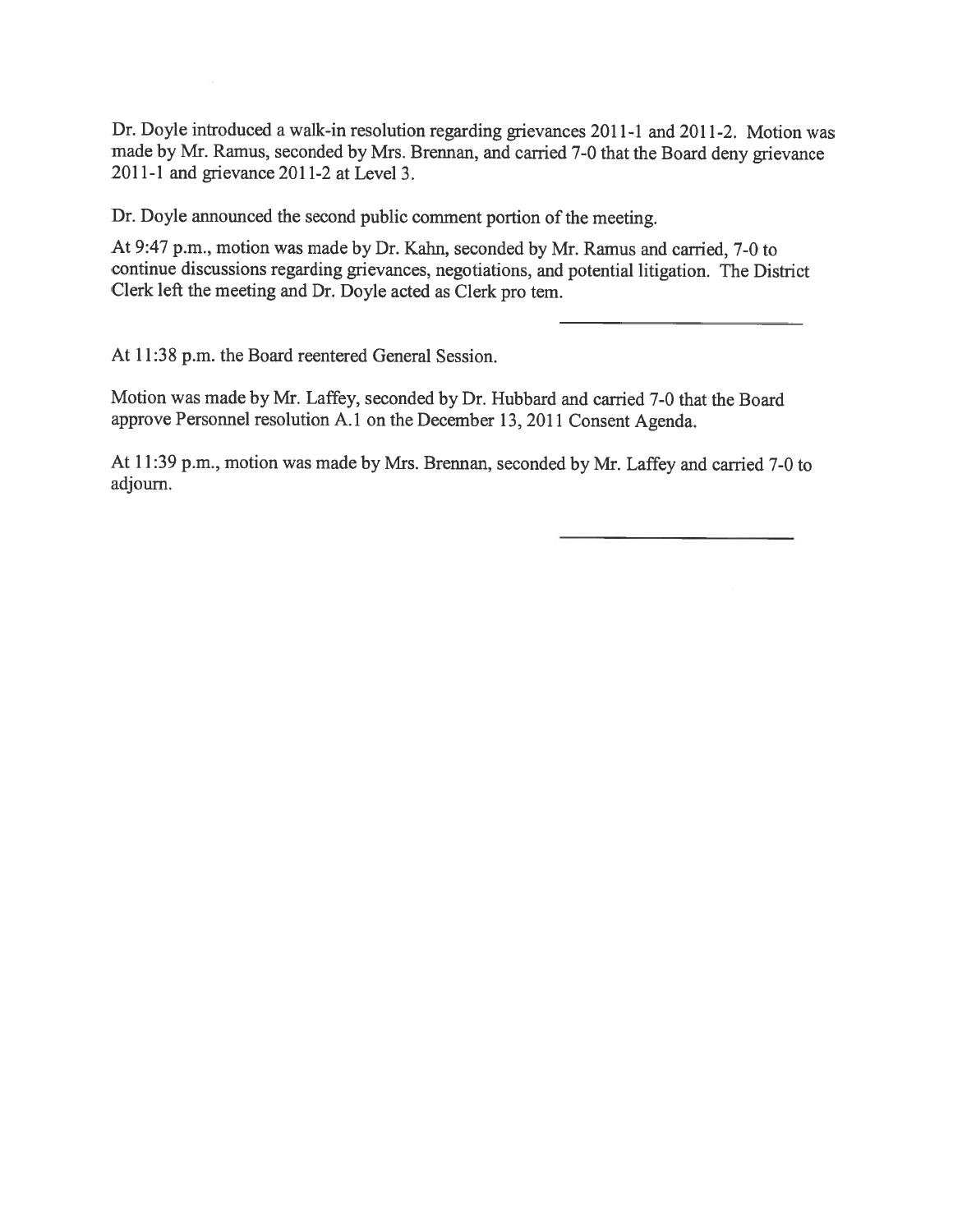Dr. Doyle introduced a walk-in resolution regarding grievances 2011-1 and 2011-2. Motion was made by Mr. Ramus, seconded by Mrs. Brennan, and carried 7-0 that the Board deny grievance 201 1-1 and grievance 2011-2 at Level 3.

Dr. Doyle announced the second public comment portion of the meeting.

At 9:47 p.m., motion was made by Dr. Kahn, seconded by Mr. Ramus and carried, 7-0 to continue discussions regarding grievances, negotiations, and potential litigation. The District Clerk left the meeting and Dr. Doyle acted as Clerk pro tem.

At 11:38 p.m. the Board reentered General Session.

Motion was made by Mr. Laffey, seconded by Dr. Hubbard and carried 7-0 that the Board approve Personnel resolution A.1 on the December 13, <sup>2011</sup> Consent Agenda.

At 11:39 p.m., motion was made by Mrs. Brennan, seconded by Mr. Laffey and carried 7-0 to adjourn.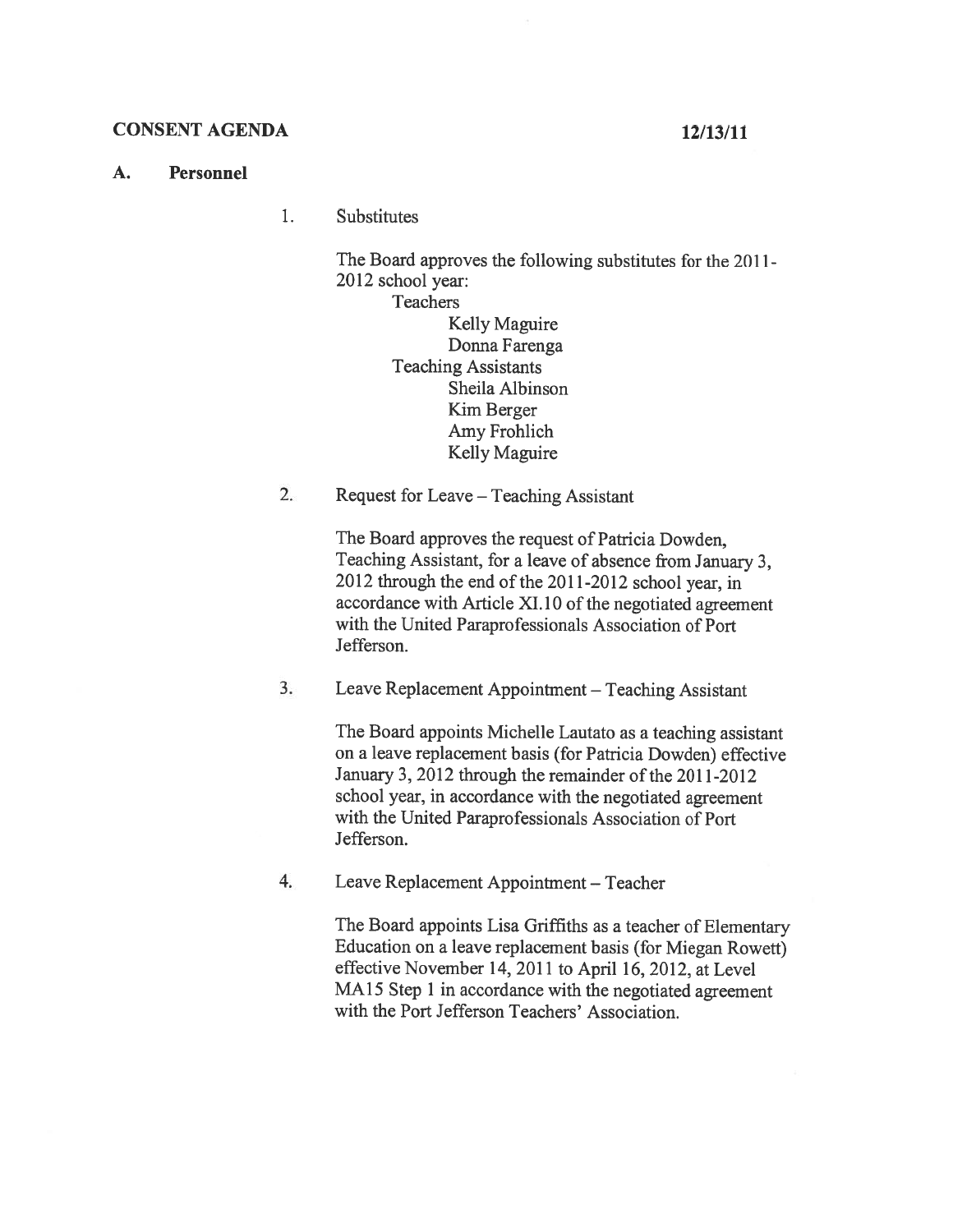## CONSENT AGENDA 12/13/11

### A. Personnel

1. Substitutes

> The Board approves the following substitutes for the 2011-2012 school year: **Teachers**

> > Kelly Maguire Donna Farenga Teaching Assistants Sheila Albinson Kim Berger Amy Frohlich Kelly Maguire

2. Request for Leave — Teaching Assistant

The Board approves the request of Patricia Dowden, Teaching Assistant, for <sup>a</sup> leave of absence from January 3, 2012 through the end of the 2011-2012 school year, in accordance with Article XI. 10 of the negotiated agreement with the United Paraprofessionals Association of Port Jefferson.

3. Leave Replacement Appointment — Teaching Assistant

The Board appoints Michelle Lautato as <sup>a</sup> teaching assistant on <sup>a</sup> leave replacement basis (for Patricia Dowden) effective January 3, 2012 through the remainder of the 2011-2012 school year, in accordance with the negotiated agreement with the United Paraprofessionals Association of Port Jefferson.

4. Leave Replacement Appointment — Teacher

The Board appoints Lisa Griffiths as <sup>a</sup> teacher of Elementary Education on <sup>a</sup> leave replacement basis (for Miegan Rowett) effective November 14, 2011 to April 16, 2012, at Level MA<sub>15</sub> Step 1 in accordance with the negotiated agreement with the Port Jefferson Teachers' Association.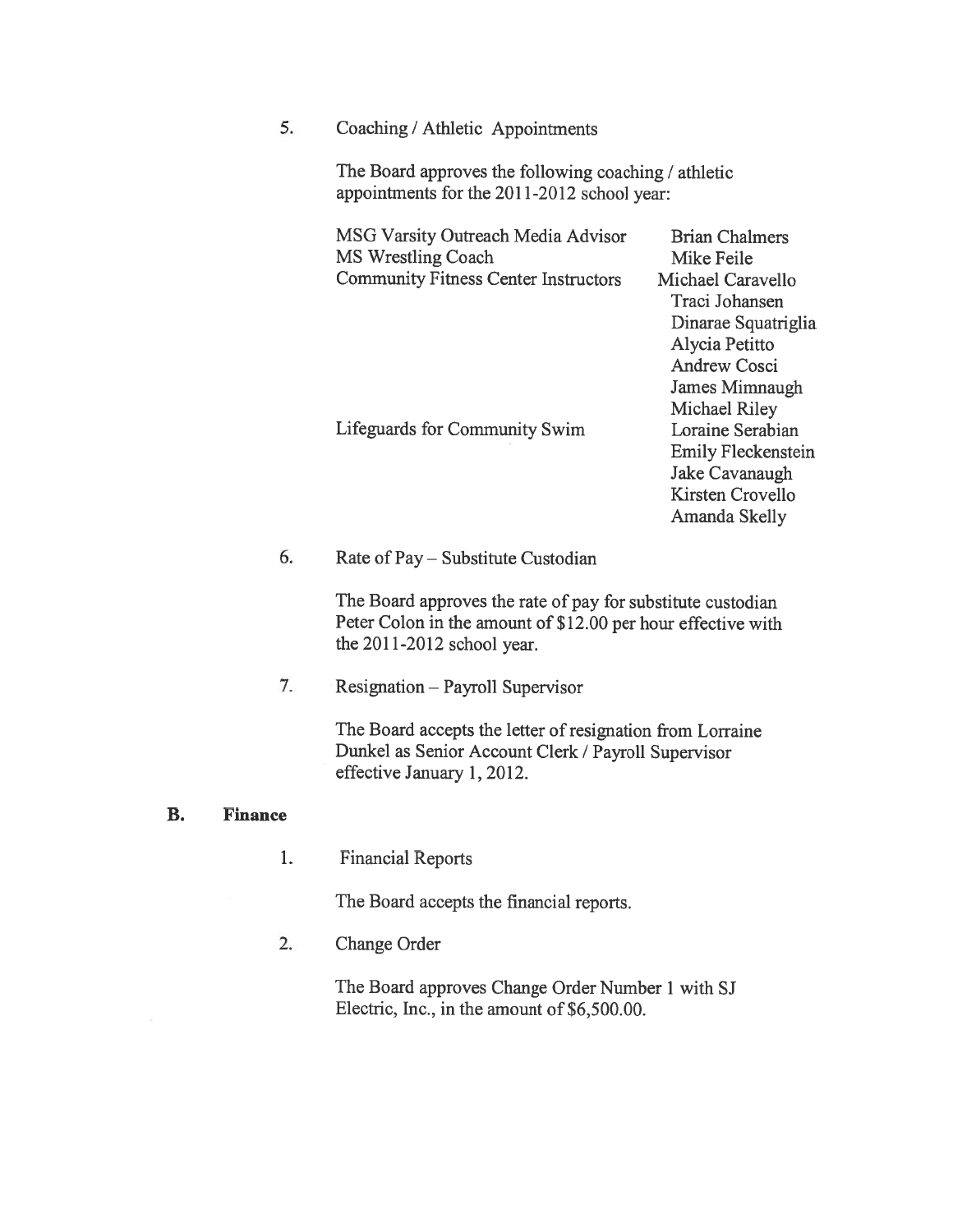5. Coaching / Athletic Appointments

The Board approves the following coaching / athletic appointments for the 2011-2012 school year:

MSG Varsity Outreach Media Advisor Brian Chalmers MS Wrestling Coach Mike Feile Community Fitness Center Instructors Michael Caravello

Lifeguards for Conmiunity Swim Loraine Serabian

Traci Johansen Dinarae Squatriglia Alycia Petitto Andrew Cosci James Mimnaugh Michael Riley Emily Fleckenstein Jake Cavanaugh Kirsten Crovello Amanda Skelly

# 6. Rate of Pay— Substitute Custodian

The Board approves the rate of pay for substitute custodian Peter Colon in the amount of \$12.00 per hour effective with the 2011-2012 school year.

7. Resignation — Payroll Supervisor

The Board accepts the letter of resignation from Lorraine Dunkel as Senior Account Clerk / Payroll Supervisor effective January 1, 2012.

#### B. Finance

1. Financial Reports

The Board accepts the financial reports.

2. Change Order

The Board approves Change Order Number 1 with SJ Electric, Inc., in the amount of \$6,500.00.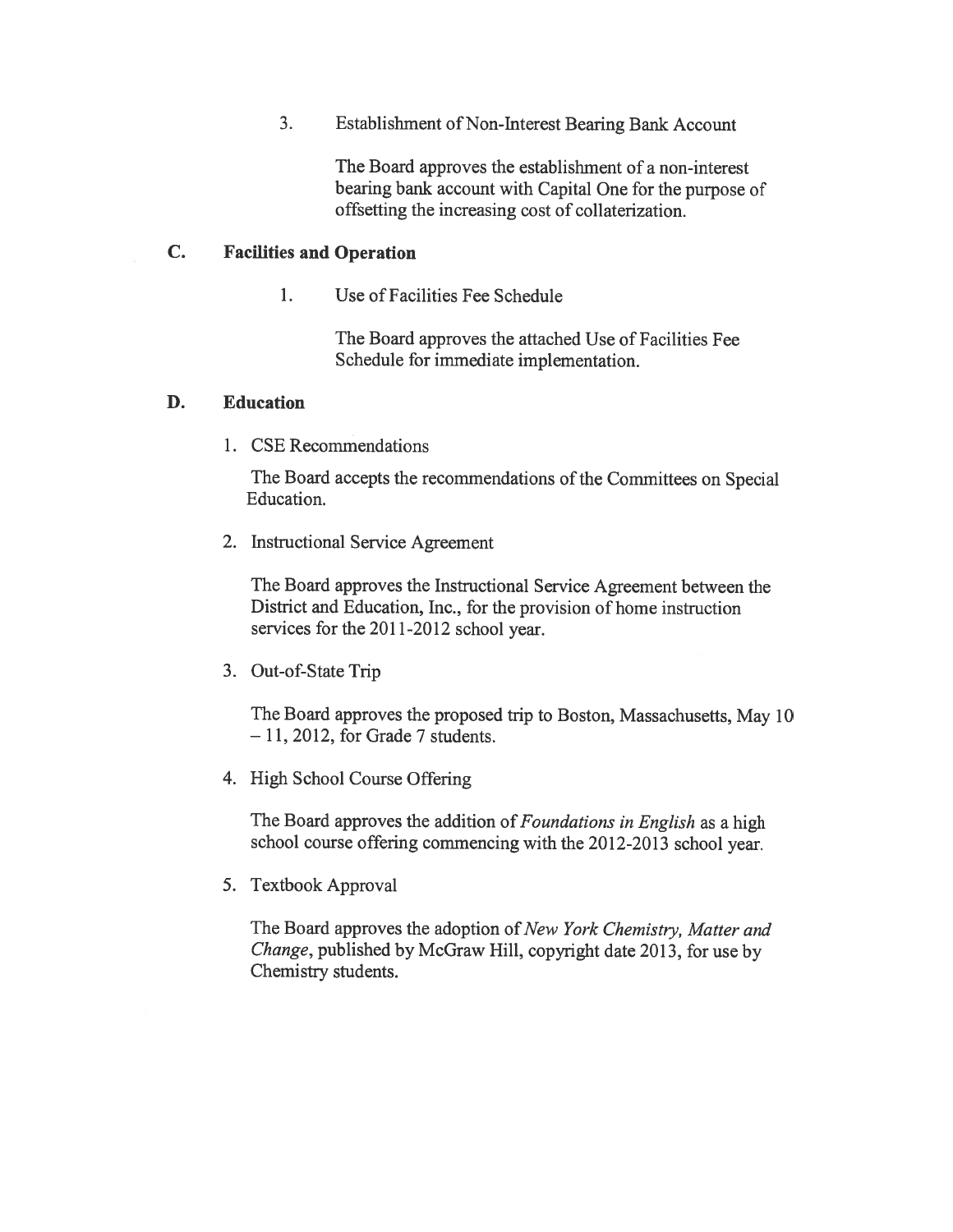3. Establishment of Non-Interest Bearing Bank Account

The Board approves the establishment of <sup>a</sup> non-interest bearing bank account with Capital One for the purpose of offsetting the increasing cost of collaterization.

### C. Facilities and Operation

1. Use of Facilities Fee Schedule

The Board approves the attached Use of Facilities Fee Schedule for immediate implementation.

### D. Education

1. CSE Recommendations

The Board accepts the recommendations of the Committees on Special Education.

2. Instructional Service Agreement

The Board approves the Instructional Service Agreement between the District and Education, Inc., for the provision of home instruction services for the 2011-2012 school year.

3. Out-of-State Trip

The Board approves the propose<sup>d</sup> trip to Boston, Massachusetts, May <sup>10</sup>  $-11$ , 2012, for Grade 7 students.

4. High School Course Offering

The Board approves the addition of Foundations in English as a high school course offering commencing with the 2012-2013 school year.

5. Textbook Approval

The Board approves the adoption of New York Chemistry, Matter and Change, published by McGraw Hill, copyright date 2013, for use by Chemistry students.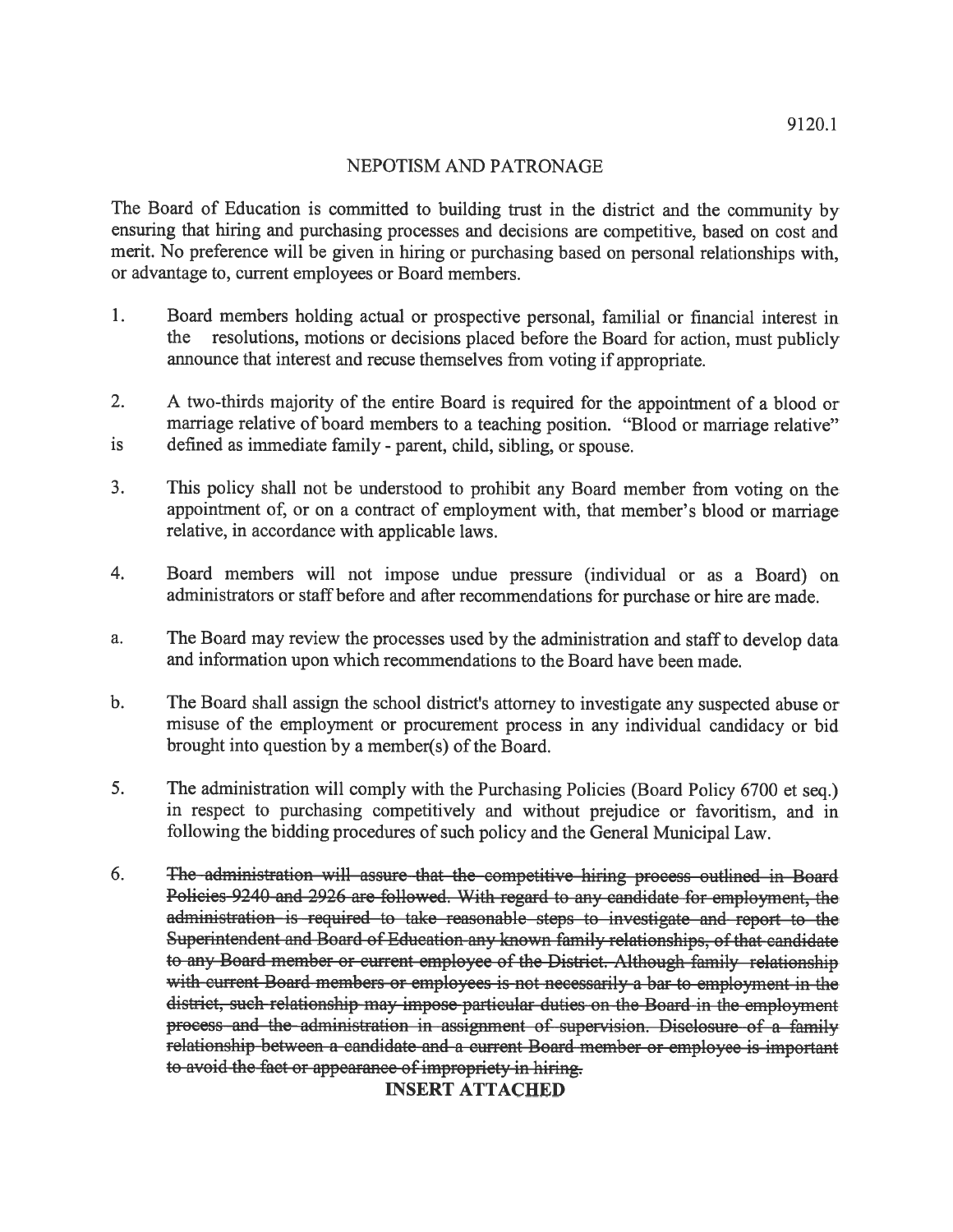# NEPOTISM AND PATRONAGE

The Board of Education is committed to building trust in the district and the community by ensuring that hiring and purchasing processes and decisions are competitive, based on cost and merit. No preference will be <sup>g</sup>iven in hiring or purchasing based on persona<sup>l</sup> relationships with, or advantage to, current employees or Board members.

- 1. Board members holding actual or prospective personal, familial or financial interest in resolutions, motions or decisions placed before the Board for action, must publicly announce that interest and recuse themselves from voting if appropriate.
- 2. <sup>A</sup> two-thirds majority of the entire Board is required for the appointment of <sup>a</sup> blood or marriage relative of board members to <sup>a</sup> teaching position. "Blood or marriage relative" is defined as immediate family - parent, child, sibling, or spouse.
- 3. This policy shall not be understood to prohibit any Board member from voting on the appointment of, or on <sup>a</sup> contract of employment with, that member's blood or marriage relative, in accordance with applicable laws.
- 4. Board members will not impose undue pressure (individual or as <sup>a</sup> Board) on administrators or staff before and after recommendations for purchase or hire are made.
- a. The Board may review the processes used by the administration and staff to develop data and information upon which recommendations to the Board have been made.
- b. The Board shall assign the school district's attorney to investigate any suspected abuse or misuse of the employment or procuremen<sup>t</sup> process in any individual candidacy or bid brought into question by <sup>a</sup> member(s) of the Board.
- 5. The administration will comply with the Purchasing Policies (Board Policy <sup>6700</sup> et seq.) in respec<sup>t</sup> to purchasing competitively and without prejudice or favoritism, and in following the bidding procedures of such policy and the General Municipal Law.
- 6. The administration will assure that the competitive hiring process outlined in Board Policies <sup>9240</sup> and <sup>2926</sup> are followed. With regar<sup>d</sup> to any candidate for employment, the administration is required to take reasonable steps to investigate and repor<sup>t</sup> to the Superintendent and Board of Education any known family relationships, of that candidate to any Board member or current employee of the District. Although family relationship with current Board members or employees is not necessarily <sup>a</sup> bar to employment in the district, such relationship may impose particular duties on the Board in the employment process and the administration in assignment of supervision. Disclosure of a family relationship between <sup>a</sup> candidate and <sup>a</sup> current Board member or employee is important to avoid the fact or appearance of impropriety in hiring.

INSERT ATTACHED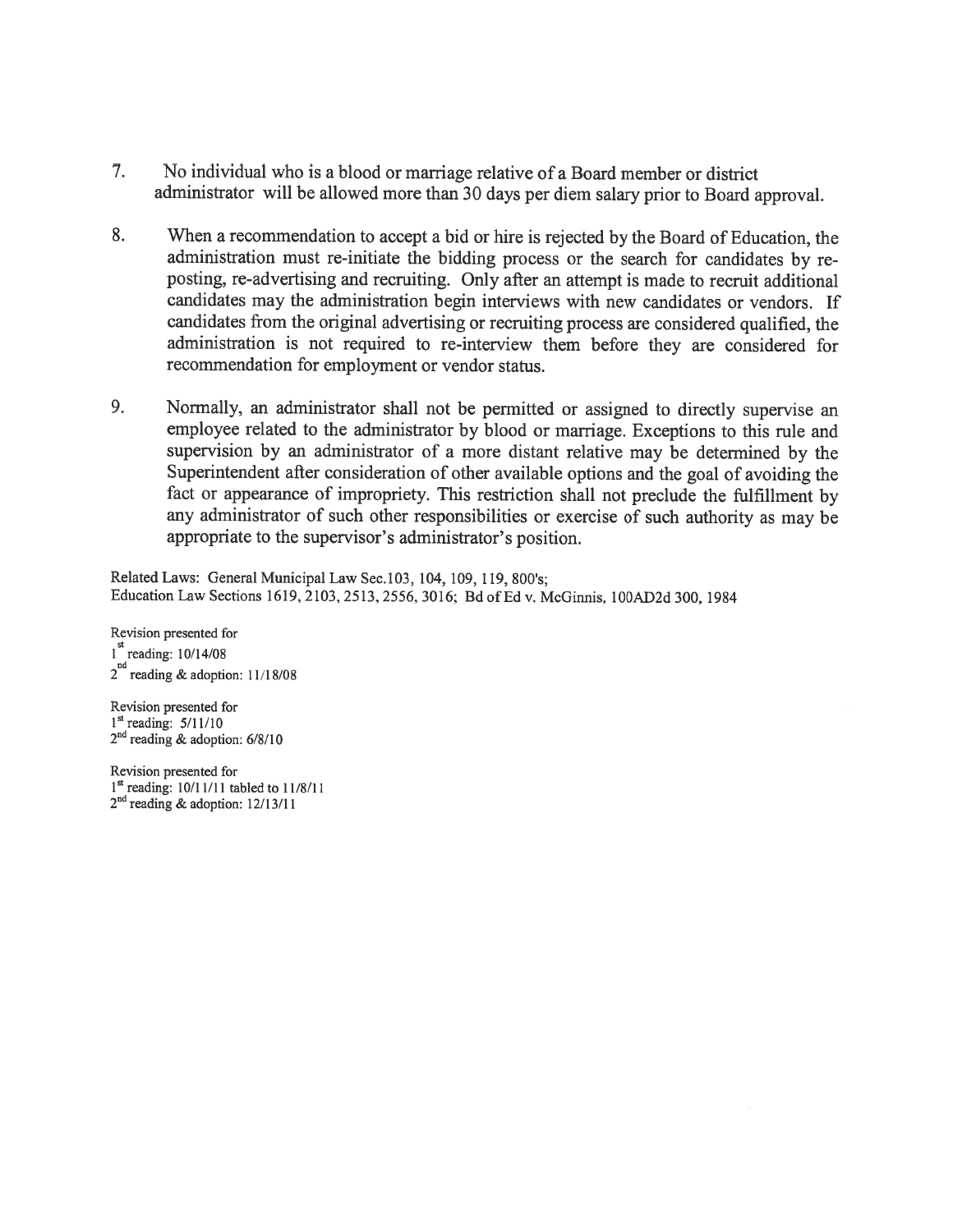- 7. No individual who is <sup>a</sup> blood or marriage relative of <sup>a</sup> Board member or district administrator will be allowed more than <sup>30</sup> days per diem salary prior to Board approval.
- 8. When <sup>a</sup> recommendation to accept <sup>a</sup> bid or hire is rejected by the Board of Education, the administration must re-initiate the bidding process or the search for candidates by re posting, re-advertising and recruiting. Only after an attempt is made to recruit additional candidates may the administration begin interviews with new candidates or vendors. If candidates from the original advertising or recruiting process are considered qualified, the administration is not required to re-interview them before they are considered for recommendation for employment or vendor status.
- 9. Normally, an administrator shall not be permitted or assigned to directly supervise an employee related to the administrator by blood or marriage. Exceptions to this rule and supervision by an administrator of <sup>a</sup> more distant relative may be determined by the Superintendent after consideration of other available options and the goa<sup>l</sup> of avoiding the fact or appearance of impropriety. This restriction shall not preclude the fulfillment by any administrator of such other responsibilities or exercise of such authority as may be appropriate to the supervisor's administrator's position.

Related Laws: General Municipal Law Sec.103, 104, 109, 119, 800's; Education Law Sections 1619, 2103, 2513, 2556, 3016; Bd of Ed v. McGinnis, 100AD2d 300, 1984

Revision presented for 1<sup>st</sup> reading: 10/14/08  $2^{nd}$  reading & adoption: 11/18/08

Revision presented for  $1<sup>st</sup>$  reading:  $5/11/10$ 2<sup>nd</sup> reading & adoption: 6/8/10

Revision presented for <sup>1</sup> reading: 10/11/11 tabled to 11/8/11  $2<sup>nd</sup>$  reading & adoption:  $12/13/11$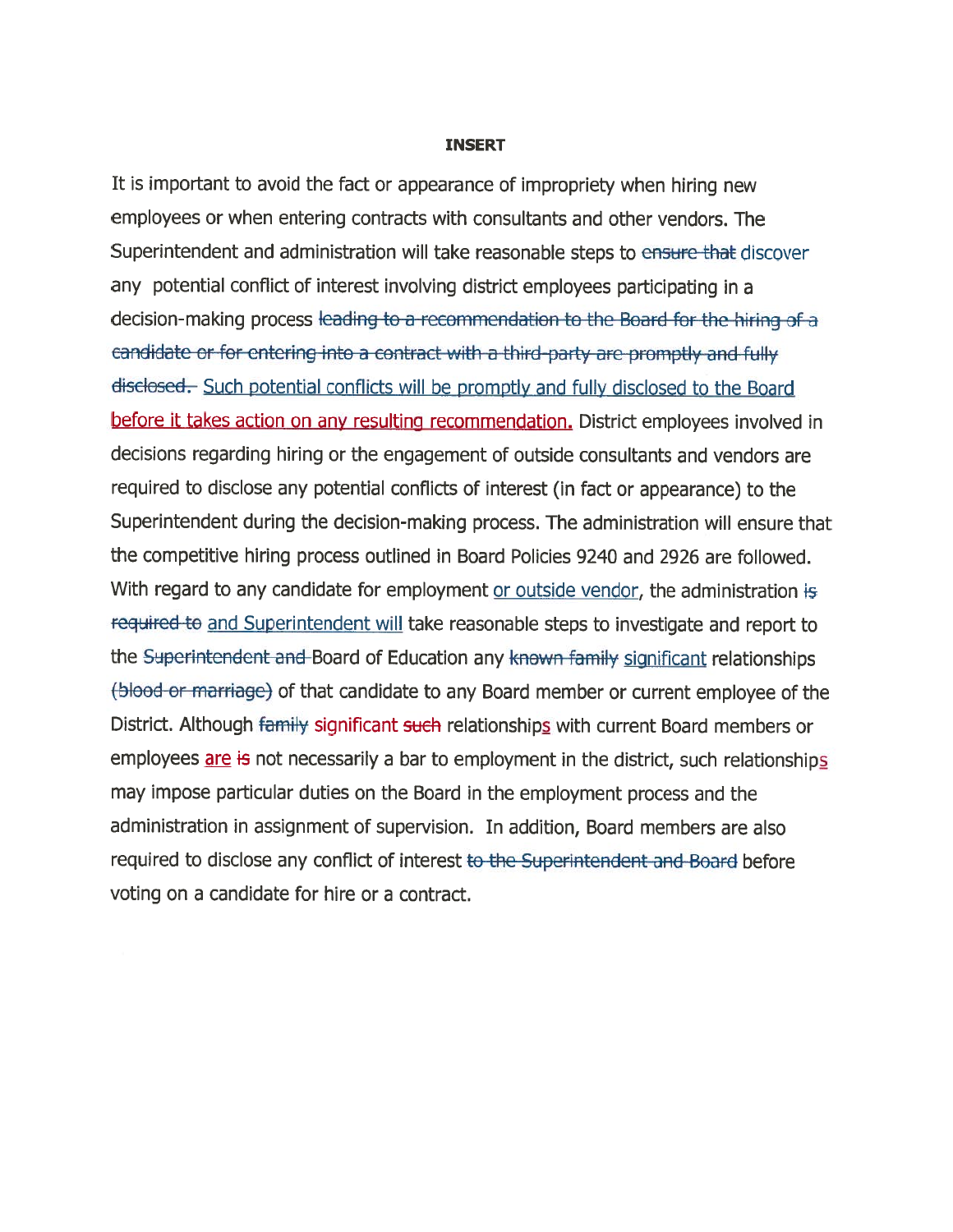#### INSERT

It is important to avoid the fact or appearance of impropriety when hiring new employees or when entering contracts with consultants and other vendors. The Superintendent and administration will take reasonable steps to ensure that discover any potential conflict of interest involving district employees participating in <sup>a</sup> decision-making process leading to <sup>a</sup> rccommcndation to the Board for thc hiring of <sup>a</sup> candidatc or for entering into <sup>a</sup> contract with <sup>a</sup> third party arc promptly and fully disclosed. Such potential conflicts will be promptly and fully disclosed to the Board before it takes action on any resulting recommendation. District employees involved in decisions regarding hiring or the engagemen<sup>t</sup> of outside consultants and vendors are required to disclose any potential conflicts of interest (in fact or appearance) to the Superintendent during the decision-making process. The administration will ensure that the competitive hiring process outlined in Board Policies 9240 and 2926 are followed. With regard to any candidate for employment or outside vendor, the administration is required to and Superintendent will take reasonable steps to investigate and report to the Superintendent and Board of Education any known family significant relationships (blood or marriage) of that candidate to any Board member or current employee of the District. Although family significant such relationships with current Board members or employees are is not necessarily a bar to employment in the district, such relationships may impose particular duties on the Board in the employment process and the administration in assignment of supervision. In addition, Board members are also required to disclose any conflict of interest to the Superintendent and Board before voting on <sup>a</sup> candidate for hire or <sup>a</sup> contract.